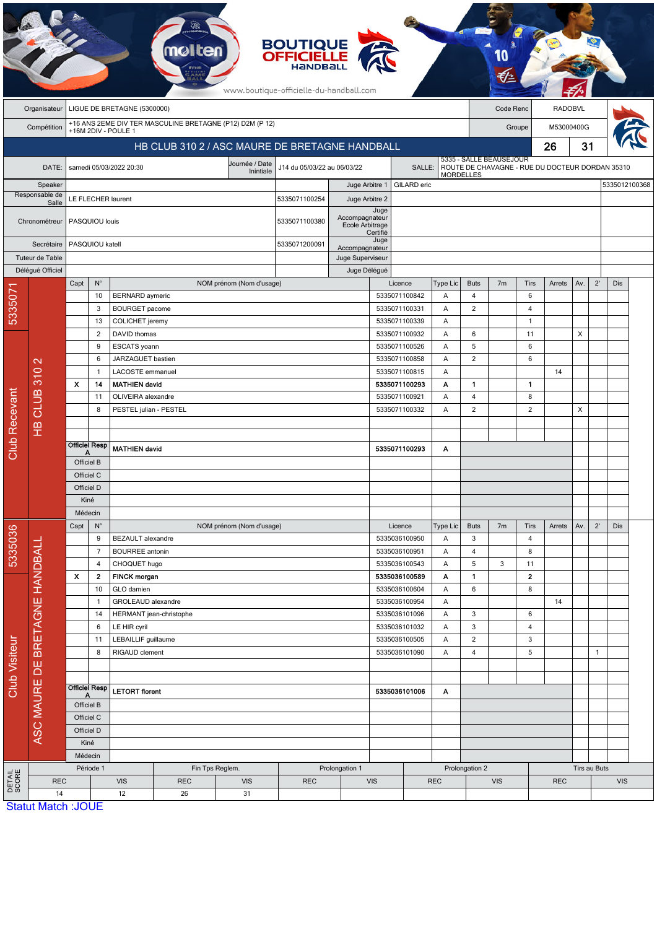|                      |                           |                             |                                                |                                                           | <b>molten</b>                                            |                             | <b>BOUTIQUE</b><br><b>OFFICIELLE</b><br><b>HANDBAL</b><br>www.boutique-officielle-du-handball.com |                                   |                                     |                    |                  |                              |                                                                            |                    |                |               |              |            |  |
|----------------------|---------------------------|-----------------------------|------------------------------------------------|-----------------------------------------------------------|----------------------------------------------------------|-----------------------------|---------------------------------------------------------------------------------------------------|-----------------------------------|-------------------------------------|--------------------|------------------|------------------------------|----------------------------------------------------------------------------|--------------------|----------------|---------------|--------------|------------|--|
|                      | Organisateur              | LIGUE DE BRETAGNE (5300000) |                                                |                                                           |                                                          |                             |                                                                                                   |                                   |                                     |                    |                  | Code Renc                    |                                                                            |                    | <b>RADOBVL</b> |               |              |            |  |
|                      | Compétition               |                             |                                                | +16M 2DIV - POULE 1                                       | +16 ANS 2EME DIV TER MASCULINE BRETAGNE (P12) D2M (P 12) |                             |                                                                                                   |                                   |                                     |                    |                  | Groupe                       |                                                                            |                    | M53000400G     |               |              |            |  |
|                      |                           |                             | HB CLUB 310 2 / ASC MAURE DE BRETAGNE HANDBALL |                                                           |                                                          |                             |                                                                                                   |                                   |                                     |                    |                  |                              |                                                                            |                    | 26             |               | 31           |            |  |
|                      | DATE:                     |                             |                                                | samedi 05/03/2022 20:30                                   |                                                          | Journée / Date<br>Inintiale | J14 du 05/03/22 au 06/03/22                                                                       |                                   |                                     | SALLE:             |                  |                              | 5335 - SALLE BEAUSEJOUR<br>ROUTE DE CHAVAGNE - RUE DU DOCTEUR DORDAN 35310 |                    |                |               |              |            |  |
|                      | Speaker                   |                             |                                                |                                                           |                                                          |                             | Juge Arbitre 1                                                                                    |                                   |                                     | <b>GILARD</b> eric | <b>MORDELLES</b> |                              |                                                                            |                    |                | 5335012100368 |              |            |  |
|                      | Responsable de<br>Salle   | LE FLECHER laurent          |                                                |                                                           |                                                          |                             | 5335071100254<br>Juge Arbitre 2                                                                   |                                   |                                     |                    |                  |                              |                                                                            |                    |                |               |              |            |  |
|                      | Chronométreur             |                             | PASQUIOU louis                                 |                                                           |                                                          |                             | 5335071100380                                                                                     | Accompagnateur<br>Ecole Arbitrage | Juge<br>Certifié                    |                    |                  |                              |                                                                            |                    |                |               |              |            |  |
|                      | Secrétaire                |                             | PASQUIOU katell                                |                                                           |                                                          |                             | 5335071200091                                                                                     | Juge<br>Accompagnateur            |                                     |                    |                  |                              |                                                                            |                    |                |               |              |            |  |
|                      | Tuteur de Table           |                             |                                                |                                                           |                                                          |                             |                                                                                                   | Juge Superviseur                  |                                     |                    |                  |                              |                                                                            |                    |                |               |              |            |  |
|                      | Délégué Officiel          | $N^{\circ}$<br>Capt         |                                                | NOM prénom (Nom d'usage)                                  |                                                          |                             |                                                                                                   | Juge Délégué                      |                                     | Licence            | Type Lic         | <b>Buts</b>                  | 7 <sub>m</sub>                                                             | Tirs               | Arrets         | Av.           | $2^{\prime}$ | Dis        |  |
| 5335071              |                           |                             | 10                                             | <b>BERNARD</b> aymeric                                    |                                                          |                             |                                                                                                   |                                   | 5335071100842                       |                    | Α                | 4                            |                                                                            | 6                  |                |               |              |            |  |
|                      |                           |                             | 3                                              | <b>BOURGET</b> pacome                                     |                                                          |                             |                                                                                                   |                                   | 5335071100331                       |                    | A                | $\overline{2}$               |                                                                            | 4                  |                |               |              |            |  |
|                      |                           |                             | 13                                             | <b>COLICHET</b> jeremy<br>DAVID thomas                    |                                                          |                             |                                                                                                   | 5335071100339                     |                                     |                    | Α                |                              |                                                                            | $\mathbf{1}$       |                |               |              |            |  |
|                      |                           |                             | $\overline{2}$                                 |                                                           |                                                          |                             |                                                                                                   |                                   | 5335071100932<br>Α<br>5335071100526 |                    |                  | 6                            |                                                                            | 11                 |                | X             |              |            |  |
|                      |                           | 9<br>6<br>-1                |                                                | ESCATS yoann<br>JARZAGUET bastien                         |                                                          |                             |                                                                                                   |                                   |                                     | 5335071100858      | A<br>Α           | 5<br>$\overline{2}$          |                                                                            | 6<br>6             |                |               |              |            |  |
|                      | $\mathbf{\sim}$           |                             |                                                |                                                           | LACOSTE emmanuel                                         |                             |                                                                                                   |                                   |                                     | 5335071100815      | Α                |                              |                                                                            |                    | 14             |               |              |            |  |
|                      | 310                       | $\boldsymbol{\mathsf{x}}$   | 14                                             |                                                           | <b>MATHIEN david</b>                                     |                             |                                                                                                   |                                   |                                     | 5335071100293      | Α                | 1                            |                                                                            | $\mathbf{1}$       |                |               |              |            |  |
|                      |                           |                             | 11<br>OLIVEIRA alexandre                       |                                                           |                                                          |                             |                                                                                                   |                                   |                                     | 5335071100921      | Α                | 4                            |                                                                            | 8                  |                |               |              |            |  |
|                      | <b>HB CLUB</b>            |                             | 8                                              | PESTEL julian - PESTEL                                    |                                                          |                             |                                                                                                   |                                   |                                     | 5335071100332      | A                | $\overline{2}$               |                                                                            | $\overline{2}$     |                | X             |              |            |  |
|                      |                           |                             |                                                |                                                           |                                                          |                             |                                                                                                   |                                   |                                     |                    |                  |                              |                                                                            |                    |                |               |              |            |  |
| Club Recevant        |                           |                             | <b>Officiel Resp</b>                           |                                                           |                                                          |                             |                                                                                                   |                                   |                                     |                    |                  |                              |                                                                            |                    |                |               |              |            |  |
|                      |                           |                             |                                                | <b>MATHIEN david</b>                                      |                                                          |                             |                                                                                                   | 5335071100293                     |                                     |                    | Α                |                              |                                                                            |                    |                |               |              |            |  |
|                      |                           | Officiel B<br>Officiel C    |                                                |                                                           |                                                          |                             |                                                                                                   |                                   |                                     |                    |                  |                              |                                                                            |                    |                |               |              |            |  |
|                      |                           | Officiel D                  |                                                |                                                           |                                                          |                             |                                                                                                   |                                   |                                     |                    |                  |                              |                                                                            |                    |                |               |              |            |  |
|                      |                           | Kiné                        |                                                |                                                           |                                                          |                             |                                                                                                   |                                   |                                     |                    |                  |                              |                                                                            |                    |                |               |              |            |  |
|                      |                           | Médecin                     |                                                |                                                           |                                                          |                             |                                                                                                   |                                   |                                     |                    |                  |                              |                                                                            |                    |                |               |              |            |  |
|                      |                           | Capt                        | $N^{\circ}$                                    |                                                           |                                                          | NOM prénom (Nom d'usage)    |                                                                                                   |                                   |                                     | Licence            | Type Lic         | <b>Buts</b>                  | 7 <sub>m</sub>                                                             | Tirs               | Arrets         | Av.           | $2^{\prime}$ | Dis        |  |
| 5335036              |                           |                             | 9                                              | <b>BEZAULT</b> alexandre                                  |                                                          |                             |                                                                                                   |                                   |                                     | 5335036100950      | Α                | 3                            |                                                                            | 4                  |                |               |              |            |  |
|                      |                           |                             | $\overline{7}$                                 | <b>BOURREE</b> antonin                                    |                                                          |                             |                                                                                                   |                                   |                                     | 5335036100951      | Α                | 4                            |                                                                            | 8                  |                |               |              |            |  |
|                      |                           | X                           | 4<br>2                                         | CHOQUET hugo<br><b>FINCK</b> morgan                       |                                                          |                             |                                                                                                   |                                   |                                     | 5335036100543      | Α                | 5                            | 3                                                                          | 11<br>$\mathbf{2}$ |                |               |              |            |  |
| <b>Club Visiteur</b> |                           | 10                          |                                                | GLO damien                                                |                                                          |                             |                                                                                                   |                                   | 5335036100589<br>5335036100604      |                    | A<br>Α           | 1<br>6                       |                                                                            | 8                  |                |               |              |            |  |
|                      |                           |                             | -1                                             | GROLEAUD alexandre                                        |                                                          |                             |                                                                                                   |                                   |                                     | 5335036100954      | A                |                              |                                                                            |                    | 14             |               |              |            |  |
|                      |                           | 14                          |                                                | HERMANT jean-christophe                                   |                                                          |                             |                                                                                                   |                                   | 5335036101096                       |                    | Α                | 3                            |                                                                            | 6                  |                |               |              |            |  |
|                      | BRETAGNE HANDBALL         |                             | 6                                              | LE HIR cyril                                              |                                                          |                             |                                                                                                   |                                   | 5335036101032<br>Α                  |                    | 3                |                              | 4                                                                          |                    |                |               |              |            |  |
|                      |                           |                             | 11                                             | LEBAILLIF guillaume                                       |                                                          |                             |                                                                                                   | 5335036100505                     |                                     | Α                  | $\mathbf 2$      |                              | 3                                                                          |                    |                |               |              |            |  |
|                      |                           | 8                           |                                                | RIGAUD clement                                            |                                                          |                             |                                                                                                   |                                   | 5335036101090                       |                    |                  | $\overline{\mathbf{4}}$      |                                                                            | 5                  |                |               | $\mathbf{1}$ |            |  |
|                      |                           |                             |                                                |                                                           |                                                          |                             |                                                                                                   |                                   |                                     |                    |                  |                              |                                                                            |                    |                |               |              |            |  |
|                      |                           | <b>Officiel Resp</b>        |                                                | <b>LETORT</b> florent                                     |                                                          |                             |                                                                                                   |                                   | 5335036101006                       |                    | A                |                              |                                                                            |                    |                |               |              |            |  |
|                      | ASC MAURE DE              |                             | Officiel B                                     |                                                           |                                                          |                             |                                                                                                   |                                   |                                     |                    |                  |                              |                                                                            |                    |                |               |              |            |  |
|                      |                           |                             | Officiel C                                     |                                                           |                                                          |                             |                                                                                                   |                                   |                                     |                    |                  |                              |                                                                            |                    |                |               |              |            |  |
|                      |                           |                             | Officiel D                                     |                                                           |                                                          |                             |                                                                                                   |                                   |                                     |                    |                  |                              |                                                                            |                    |                |               |              |            |  |
|                      |                           | Kiné                        |                                                |                                                           |                                                          |                             |                                                                                                   |                                   |                                     |                    |                  |                              |                                                                            |                    |                |               |              |            |  |
|                      |                           | Médecin                     |                                                |                                                           | Prolongation 1                                           |                             |                                                                                                   |                                   |                                     |                    |                  |                              |                                                                            |                    |                |               | Tirs au Buts |            |  |
| DETAIL<br>SCORE      | <b>REC</b>                | Période 1                   |                                                | Fin Tps Reglem.<br><b>VIS</b><br><b>REC</b><br><b>VIS</b> |                                                          |                             | <b>REC</b>                                                                                        | <b>VIS</b>                        |                                     |                    | <b>REC</b>       | Prolongation 2<br><b>VIS</b> |                                                                            |                    | <b>REC</b>     |               |              | <b>VIS</b> |  |
|                      | 14                        |                             |                                                | 12                                                        | 26                                                       | 31                          |                                                                                                   |                                   |                                     |                    |                  |                              |                                                                            |                    |                |               |              |            |  |
|                      | <b>Statut Match: JOUE</b> |                             |                                                |                                                           |                                                          |                             |                                                                                                   |                                   |                                     |                    |                  |                              |                                                                            |                    |                |               |              |            |  |

 $\mathcal{F}$ 

**Statut Match : JOU**